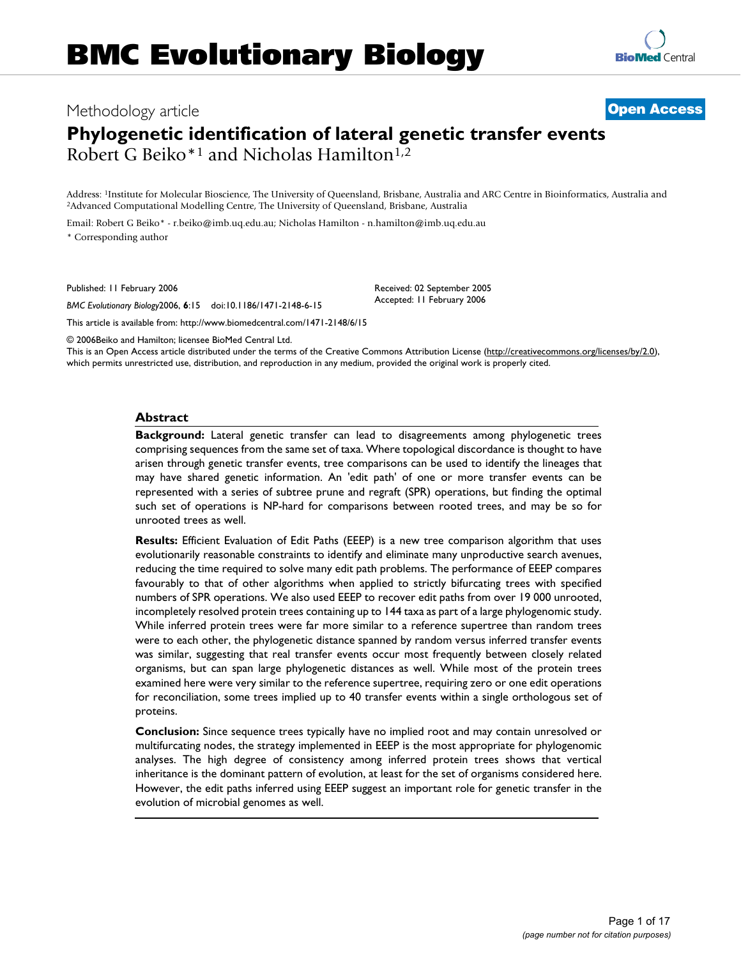# Methodology article **[Open Access](http://www.biomedcentral.com/info/about/charter/)**

# **Phylogenetic identification of lateral genetic transfer events** Robert G Beiko<sup>\*1</sup> and Nicholas Hamilton<sup>1,2</sup>

Address: <sup>1</sup>Institute for Molecular Bioscience, The University of Queensland, Brisbane, Australia and ARC Centre in Bioinformatics, Australia and <sup>2</sup>Advanced Computational Modelling Centre, The University of Queensland, Br

Email: Robert G Beiko\* - r.beiko@imb.uq.edu.au; Nicholas Hamilton - n.hamilton@imb.uq.edu.au \* Corresponding author

Published: 11 February 2006

*BMC Evolutionary Biology*2006, **6**:15 doi:10.1186/1471-2148-6-15

[This article is available from: http://www.biomedcentral.com/1471-2148/6/15](http://www.biomedcentral.com/1471-2148/6/15)

© 2006Beiko and Hamilton; licensee BioMed Central Ltd.

This is an Open Access article distributed under the terms of the Creative Commons Attribution License [\(http://creativecommons.org/licenses/by/2.0\)](http://creativecommons.org/licenses/by/2.0), which permits unrestricted use, distribution, and reproduction in any medium, provided the original work is properly cited.

Received: 02 September 2005 Accepted: 11 February 2006

#### **Abstract**

**Background:** Lateral genetic transfer can lead to disagreements among phylogenetic trees comprising sequences from the same set of taxa. Where topological discordance is thought to have arisen through genetic transfer events, tree comparisons can be used to identify the lineages that may have shared genetic information. An 'edit path' of one or more transfer events can be represented with a series of subtree prune and regraft (SPR) operations, but finding the optimal such set of operations is NP-hard for comparisons between rooted trees, and may be so for unrooted trees as well.

**Results:** Efficient Evaluation of Edit Paths (EEEP) is a new tree comparison algorithm that uses evolutionarily reasonable constraints to identify and eliminate many unproductive search avenues, reducing the time required to solve many edit path problems. The performance of EEEP compares favourably to that of other algorithms when applied to strictly bifurcating trees with specified numbers of SPR operations. We also used EEEP to recover edit paths from over 19 000 unrooted, incompletely resolved protein trees containing up to 144 taxa as part of a large phylogenomic study. While inferred protein trees were far more similar to a reference supertree than random trees were to each other, the phylogenetic distance spanned by random versus inferred transfer events was similar, suggesting that real transfer events occur most frequently between closely related organisms, but can span large phylogenetic distances as well. While most of the protein trees examined here were very similar to the reference supertree, requiring zero or one edit operations for reconciliation, some trees implied up to 40 transfer events within a single orthologous set of proteins.

**Conclusion:** Since sequence trees typically have no implied root and may contain unresolved or multifurcating nodes, the strategy implemented in EEEP is the most appropriate for phylogenomic analyses. The high degree of consistency among inferred protein trees shows that vertical inheritance is the dominant pattern of evolution, at least for the set of organisms considered here. However, the edit paths inferred using EEEP suggest an important role for genetic transfer in the evolution of microbial genomes as well.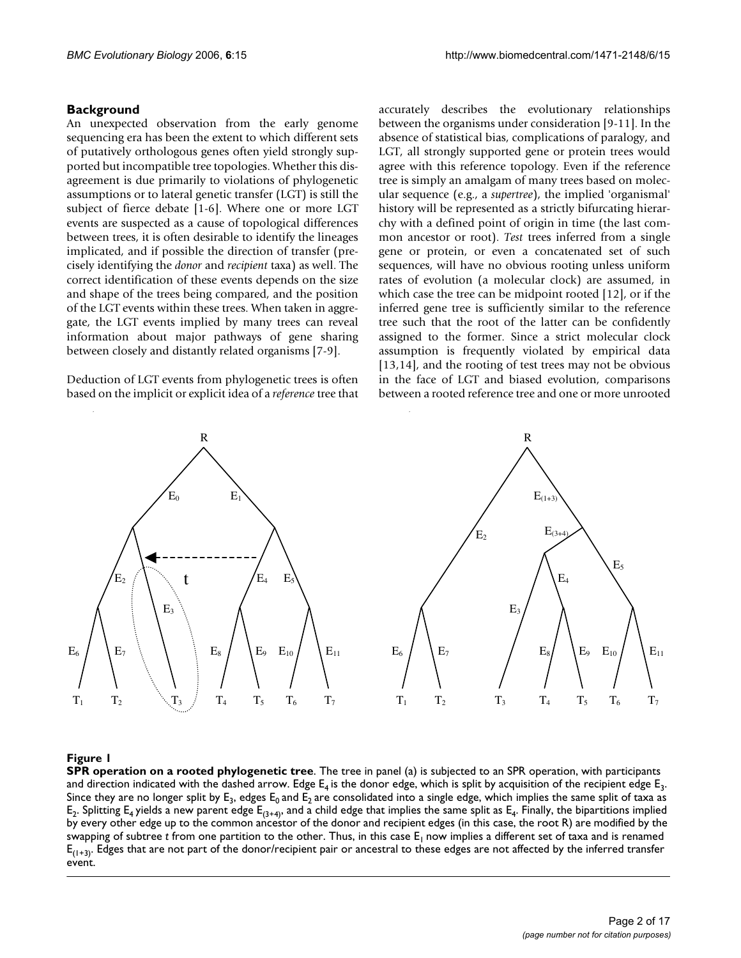## **Background**

An unexpected observation from the early genome sequencing era has been the extent to which different sets of putatively orthologous genes often yield strongly supported but incompatible tree topologies. Whether this disagreement is due primarily to violations of phylogenetic assumptions or to lateral genetic transfer (LGT) is still the subject of fierce debate [1-6]. Where one or more LGT events are suspected as a cause of topological differences between trees, it is often desirable to identify the lineages implicated, and if possible the direction of transfer (precisely identifying the *donor* and *recipient* taxa) as well. The correct identification of these events depends on the size and shape of the trees being compared, and the position of the LGT events within these trees. When taken in aggregate, the LGT events implied by many trees can reveal information about major pathways of gene sharing between closely and distantly related organisms [7-9].

Deduction of LGT events from phylogenetic trees is often based on the implicit or explicit idea of a *reference* tree that accurately describes the evolutionary relationships between the organisms under consideration [9-11]. In the absence of statistical bias, complications of paralogy, and LGT, all strongly supported gene or protein trees would agree with this reference topology. Even if the reference tree is simply an amalgam of many trees based on molecular sequence (e.g., a *supertree*), the implied 'organismal' history will be represented as a strictly bifurcating hierarchy with a defined point of origin in time (the last common ancestor or root). *Test* trees inferred from a single gene or protein, or even a concatenated set of such sequences, will have no obvious rooting unless uniform rates of evolution (a molecular clock) are assumed, in which case the tree can be midpoint rooted [12], or if the inferred gene tree is sufficiently similar to the reference tree such that the root of the latter can be confidently assigned to the former. Since a strict molecular clock assumption is frequently violated by empirical data [13,14], and the rooting of test trees may not be obvious in the face of LGT and biased evolution, comparisons between a rooted reference tree and one or more unrooted



## **Figure 1**

**SPR operation on a rooted phylogenetic tree**. The tree in panel (a) is subjected to an SPR operation, with participants and direction indicated with the dashed arrow. Edge  $E_4$  is the donor edge, which is split by acquisition of the recipient edge  $E_3$ . Since they are no longer split by  $E_3$ , edges  $E_0$  and  $E_2$  are consolidated into a single edge, which implies the same split of taxa as  $E_2$ . Splitting E<sub>4</sub> yields a new parent edge E<sub>(3+4)</sub>, and a child edge that implies the same split as E<sub>4</sub>. Finally, the bipartitions implied by every other edge up to the common ancestor of the donor and recipient edges (in this case, the root R) are modified by the swapping of subtree  $t$  from one partition to the other. Thus, in this case  $E_1$  now implies a different set of taxa and is renamed  $E_{(1+3)}$ . Edges that are not part of the donor/recipient pair or ancestral to these edges are not affected by the inferred transfer event.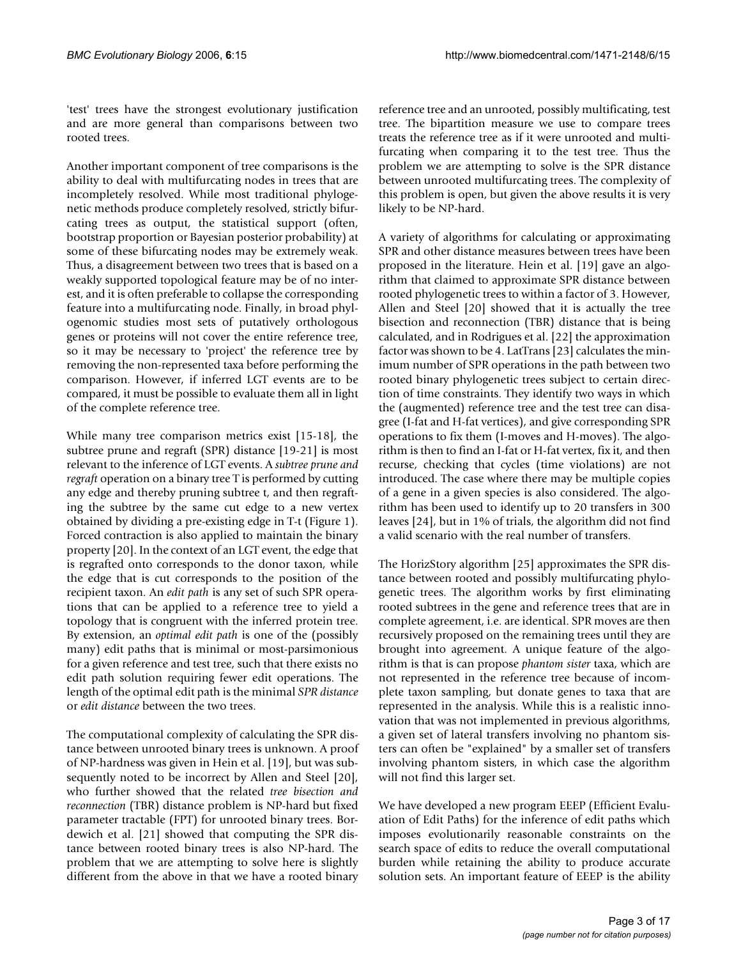'test' trees have the strongest evolutionary justification and are more general than comparisons between two rooted trees.

Another important component of tree comparisons is the ability to deal with multifurcating nodes in trees that are incompletely resolved. While most traditional phylogenetic methods produce completely resolved, strictly bifurcating trees as output, the statistical support (often, bootstrap proportion or Bayesian posterior probability) at some of these bifurcating nodes may be extremely weak. Thus, a disagreement between two trees that is based on a weakly supported topological feature may be of no interest, and it is often preferable to collapse the corresponding feature into a multifurcating node. Finally, in broad phylogenomic studies most sets of putatively orthologous genes or proteins will not cover the entire reference tree, so it may be necessary to 'project' the reference tree by removing the non-represented taxa before performing the comparison. However, if inferred LGT events are to be compared, it must be possible to evaluate them all in light of the complete reference tree.

While many tree comparison metrics exist [15-18], the subtree prune and regraft (SPR) distance [19-21] is most relevant to the inference of LGT events. A *subtree prune and regraft* operation on a binary tree T is performed by cutting any edge and thereby pruning subtree t, and then regrafting the subtree by the same cut edge to a new vertex obtained by dividing a pre-existing edge in T-t (Figure 1). Forced contraction is also applied to maintain the binary property [20]. In the context of an LGT event, the edge that is regrafted onto corresponds to the donor taxon, while the edge that is cut corresponds to the position of the recipient taxon. An *edit path* is any set of such SPR operations that can be applied to a reference tree to yield a topology that is congruent with the inferred protein tree. By extension, an *optimal edit path* is one of the (possibly many) edit paths that is minimal or most-parsimonious for a given reference and test tree, such that there exists no edit path solution requiring fewer edit operations. The length of the optimal edit path is the minimal *SPR distance* or *edit distance* between the two trees.

The computational complexity of calculating the SPR distance between unrooted binary trees is unknown. A proof of NP-hardness was given in Hein et al. [19], but was subsequently noted to be incorrect by Allen and Steel [20], who further showed that the related *tree bisection and reconnection* (TBR) distance problem is NP-hard but fixed parameter tractable (FPT) for unrooted binary trees. Bordewich et al. [21] showed that computing the SPR distance between rooted binary trees is also NP-hard. The problem that we are attempting to solve here is slightly different from the above in that we have a rooted binary

reference tree and an unrooted, possibly multificating, test tree. The bipartition measure we use to compare trees treats the reference tree as if it were unrooted and multifurcating when comparing it to the test tree. Thus the problem we are attempting to solve is the SPR distance between unrooted multifurcating trees. The complexity of this problem is open, but given the above results it is very likely to be NP-hard.

A variety of algorithms for calculating or approximating SPR and other distance measures between trees have been proposed in the literature. Hein et al. [19] gave an algorithm that claimed to approximate SPR distance between rooted phylogenetic trees to within a factor of 3. However, Allen and Steel [20] showed that it is actually the tree bisection and reconnection (TBR) distance that is being calculated, and in Rodrigues et al. [22] the approximation factor was shown to be 4. LatTrans [23] calculates the minimum number of SPR operations in the path between two rooted binary phylogenetic trees subject to certain direction of time constraints. They identify two ways in which the (augmented) reference tree and the test tree can disagree (I-fat and H-fat vertices), and give corresponding SPR operations to fix them (I-moves and H-moves). The algorithm is then to find an I-fat or H-fat vertex, fix it, and then recurse, checking that cycles (time violations) are not introduced. The case where there may be multiple copies of a gene in a given species is also considered. The algorithm has been used to identify up to 20 transfers in 300 leaves [24], but in 1% of trials, the algorithm did not find a valid scenario with the real number of transfers.

The HorizStory algorithm [25] approximates the SPR distance between rooted and possibly multifurcating phylogenetic trees. The algorithm works by first eliminating rooted subtrees in the gene and reference trees that are in complete agreement, i.e. are identical. SPR moves are then recursively proposed on the remaining trees until they are brought into agreement. A unique feature of the algorithm is that is can propose *phantom sister* taxa, which are not represented in the reference tree because of incomplete taxon sampling, but donate genes to taxa that are represented in the analysis. While this is a realistic innovation that was not implemented in previous algorithms, a given set of lateral transfers involving no phantom sisters can often be "explained" by a smaller set of transfers involving phantom sisters, in which case the algorithm will not find this larger set.

We have developed a new program EEEP (Efficient Evaluation of Edit Paths) for the inference of edit paths which imposes evolutionarily reasonable constraints on the search space of edits to reduce the overall computational burden while retaining the ability to produce accurate solution sets. An important feature of EEEP is the ability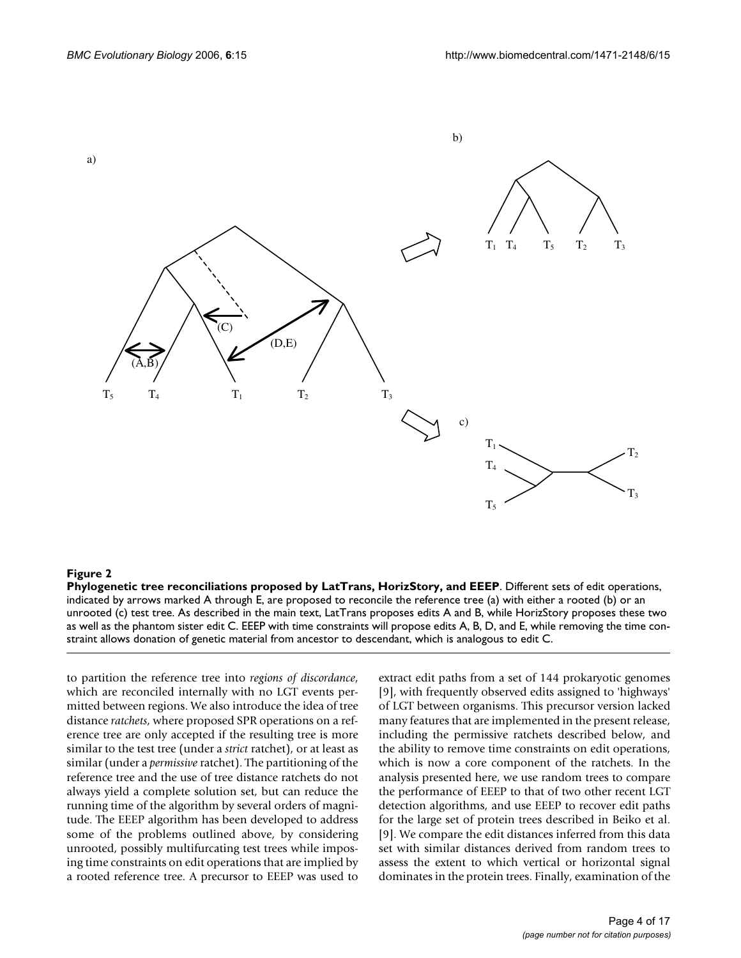

**Phylogenetic tree reconciliations proposed by LatTrans, HorizStory, and EEEP**. Different sets of edit operations, indicated by arrows marked A through E, are proposed to reconcile the reference tree (a) with either a rooted (b) or an unrooted (c) test tree. As described in the main text, LatTrans proposes edits A and B, while HorizStory proposes these two as well as the phantom sister edit C. EEEP with time constraints will propose edits A, B, D, and E, while removing the time constraint allows donation of genetic material from ancestor to descendant, which is analogous to edit C.

to partition the reference tree into *regions of discordance*, which are reconciled internally with no LGT events permitted between regions. We also introduce the idea of tree distance *ratchets*, where proposed SPR operations on a reference tree are only accepted if the resulting tree is more similar to the test tree (under a *strict* ratchet), or at least as similar (under a *permissive* ratchet). The partitioning of the reference tree and the use of tree distance ratchets do not always yield a complete solution set, but can reduce the running time of the algorithm by several orders of magnitude. The EEEP algorithm has been developed to address some of the problems outlined above, by considering unrooted, possibly multifurcating test trees while imposing time constraints on edit operations that are implied by a rooted reference tree. A precursor to EEEP was used to

extract edit paths from a set of 144 prokaryotic genomes [9], with frequently observed edits assigned to 'highways' of LGT between organisms. This precursor version lacked many features that are implemented in the present release, including the permissive ratchets described below, and the ability to remove time constraints on edit operations, which is now a core component of the ratchets. In the analysis presented here, we use random trees to compare the performance of EEEP to that of two other recent LGT detection algorithms, and use EEEP to recover edit paths for the large set of protein trees described in Beiko et al. [9]. We compare the edit distances inferred from this data set with similar distances derived from random trees to assess the extent to which vertical or horizontal signal dominates in the protein trees. Finally, examination of the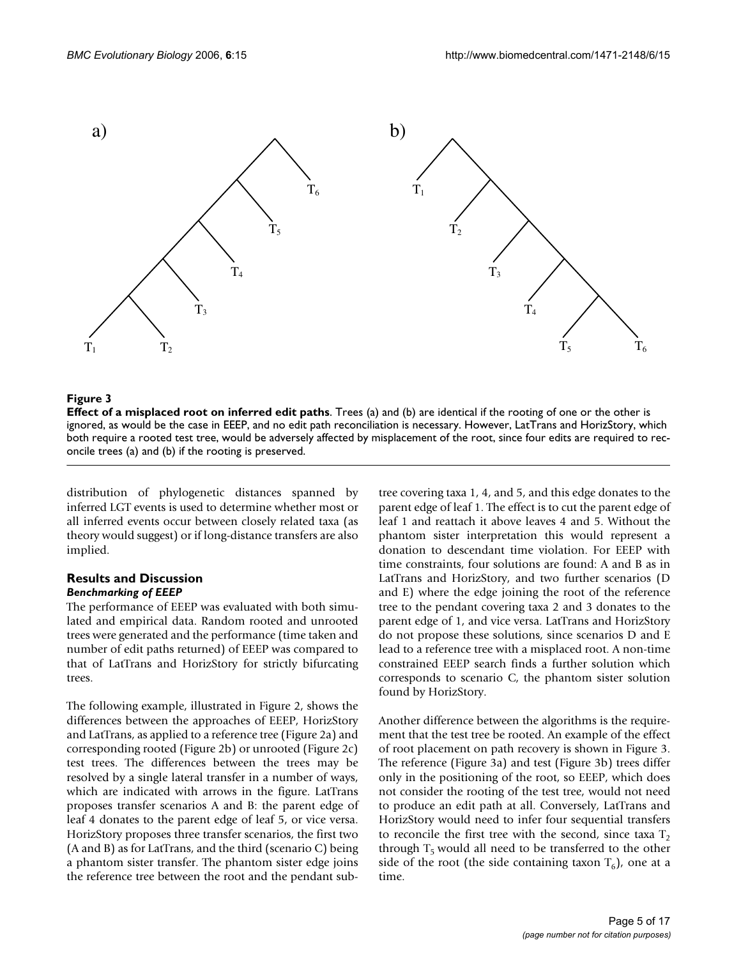

**Effect of a misplaced root on inferred edit paths**. Trees (a) and (b) are identical if the rooting of one or the other is ignored, as would be the case in EEEP, and no edit path reconciliation is necessary. However, LatTrans and HorizStory, which both require a rooted test tree, would be adversely affected by misplacement of the root, since four edits are required to reconcile trees (a) and (b) if the rooting is preserved.

distribution of phylogenetic distances spanned by inferred LGT events is used to determine whether most or all inferred events occur between closely related taxa (as theory would suggest) or if long-distance transfers are also implied.

# **Results and Discussion** *Benchmarking of EEEP*

The performance of EEEP was evaluated with both simulated and empirical data. Random rooted and unrooted trees were generated and the performance (time taken and number of edit paths returned) of EEEP was compared to that of LatTrans and HorizStory for strictly bifurcating trees.

The following example, illustrated in Figure 2, shows the differences between the approaches of EEEP, HorizStory and LatTrans, as applied to a reference tree (Figure 2a) and corresponding rooted (Figure 2b) or unrooted (Figure 2c) test trees. The differences between the trees may be resolved by a single lateral transfer in a number of ways, which are indicated with arrows in the figure. LatTrans proposes transfer scenarios A and B: the parent edge of leaf 4 donates to the parent edge of leaf 5, or vice versa. HorizStory proposes three transfer scenarios, the first two (A and B) as for LatTrans, and the third (scenario C) being a phantom sister transfer. The phantom sister edge joins the reference tree between the root and the pendant subtree covering taxa 1, 4, and 5, and this edge donates to the parent edge of leaf 1. The effect is to cut the parent edge of leaf 1 and reattach it above leaves 4 and 5. Without the phantom sister interpretation this would represent a donation to descendant time violation. For EEEP with time constraints, four solutions are found: A and B as in LatTrans and HorizStory, and two further scenarios (D and E) where the edge joining the root of the reference tree to the pendant covering taxa 2 and 3 donates to the parent edge of 1, and vice versa. LatTrans and HorizStory do not propose these solutions, since scenarios D and E lead to a reference tree with a misplaced root. A non-time constrained EEEP search finds a further solution which corresponds to scenario C, the phantom sister solution found by HorizStory.

Another difference between the algorithms is the requirement that the test tree be rooted. An example of the effect of root placement on path recovery is shown in Figure 3. The reference (Figure 3a) and test (Figure 3b) trees differ only in the positioning of the root, so EEEP, which does not consider the rooting of the test tree, would not need to produce an edit path at all. Conversely, LatTrans and HorizStory would need to infer four sequential transfers to reconcile the first tree with the second, since taxa  $T_2$ through  $T_5$  would all need to be transferred to the other side of the root (the side containing taxon  $T_6$ ), one at a time.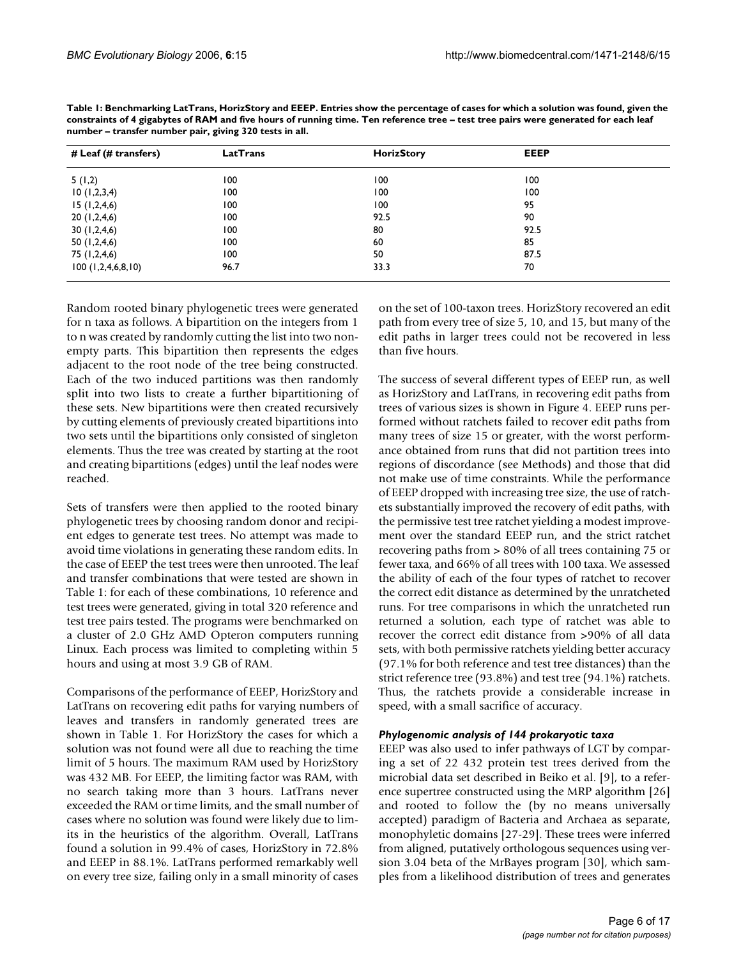| # Leaf (# transfers)   | LatTrans | <b>HorizStory</b> | <b>EEEP</b> |  |
|------------------------|----------|-------------------|-------------|--|
| 5(1,2)                 | 100      | 100               | 100         |  |
| 10(1, 2, 3, 4)         | 100      | 100               | 100         |  |
| 15(1,2,4,6)            | 100      | 100               | 95          |  |
| 20(1,2,4,6)            | 100      | 92.5              | 90          |  |
| 30(1,2,4,6)            | 100      | 80                | 92.5        |  |
| 50 $(1,2,4,6)$         | 100      | 60                | 85          |  |
| 75 (1,2,4,6)           | 100      | 50                | 87.5        |  |
| 100(1, 2, 4, 6, 8, 10) | 96.7     | 33.3              | 70          |  |

**Table 1: Benchmarking LatTrans, HorizStory and EEEP. Entries show the percentage of cases for which a solution was found, given the constraints of 4 gigabytes of RAM and five hours of running time. Ten reference tree – test tree pairs were generated for each leaf number – transfer number pair, giving 320 tests in all.**

Random rooted binary phylogenetic trees were generated for n taxa as follows. A bipartition on the integers from 1 to n was created by randomly cutting the list into two nonempty parts. This bipartition then represents the edges adjacent to the root node of the tree being constructed. Each of the two induced partitions was then randomly split into two lists to create a further bipartitioning of these sets. New bipartitions were then created recursively by cutting elements of previously created bipartitions into two sets until the bipartitions only consisted of singleton elements. Thus the tree was created by starting at the root and creating bipartitions (edges) until the leaf nodes were reached.

Sets of transfers were then applied to the rooted binary phylogenetic trees by choosing random donor and recipient edges to generate test trees. No attempt was made to avoid time violations in generating these random edits. In the case of EEEP the test trees were then unrooted. The leaf and transfer combinations that were tested are shown in Table 1: for each of these combinations, 10 reference and test trees were generated, giving in total 320 reference and test tree pairs tested. The programs were benchmarked on a cluster of 2.0 GHz AMD Opteron computers running Linux. Each process was limited to completing within 5 hours and using at most 3.9 GB of RAM.

Comparisons of the performance of EEEP, HorizStory and LatTrans on recovering edit paths for varying numbers of leaves and transfers in randomly generated trees are shown in Table 1. For HorizStory the cases for which a solution was not found were all due to reaching the time limit of 5 hours. The maximum RAM used by HorizStory was 432 MB. For EEEP, the limiting factor was RAM, with no search taking more than 3 hours. LatTrans never exceeded the RAM or time limits, and the small number of cases where no solution was found were likely due to limits in the heuristics of the algorithm. Overall, LatTrans found a solution in 99.4% of cases, HorizStory in 72.8% and EEEP in 88.1%. LatTrans performed remarkably well on every tree size, failing only in a small minority of cases

on the set of 100-taxon trees. HorizStory recovered an edit path from every tree of size 5, 10, and 15, but many of the edit paths in larger trees could not be recovered in less than five hours.

The success of several different types of EEEP run, as well as HorizStory and LatTrans, in recovering edit paths from trees of various sizes is shown in Figure 4. EEEP runs performed without ratchets failed to recover edit paths from many trees of size 15 or greater, with the worst performance obtained from runs that did not partition trees into regions of discordance (see Methods) and those that did not make use of time constraints. While the performance of EEEP dropped with increasing tree size, the use of ratchets substantially improved the recovery of edit paths, with the permissive test tree ratchet yielding a modest improvement over the standard EEEP run, and the strict ratchet recovering paths from > 80% of all trees containing 75 or fewer taxa, and 66% of all trees with 100 taxa. We assessed the ability of each of the four types of ratchet to recover the correct edit distance as determined by the unratcheted runs. For tree comparisons in which the unratcheted run returned a solution, each type of ratchet was able to recover the correct edit distance from >90% of all data sets, with both permissive ratchets yielding better accuracy (97.1% for both reference and test tree distances) than the strict reference tree (93.8%) and test tree (94.1%) ratchets. Thus, the ratchets provide a considerable increase in speed, with a small sacrifice of accuracy.

## *Phylogenomic analysis of 144 prokaryotic taxa*

EEEP was also used to infer pathways of LGT by comparing a set of 22 432 protein test trees derived from the microbial data set described in Beiko et al. [9], to a reference supertree constructed using the MRP algorithm [26] and rooted to follow the (by no means universally accepted) paradigm of Bacteria and Archaea as separate, monophyletic domains [27-29]. These trees were inferred from aligned, putatively orthologous sequences using version 3.04 beta of the MrBayes program [30], which samples from a likelihood distribution of trees and generates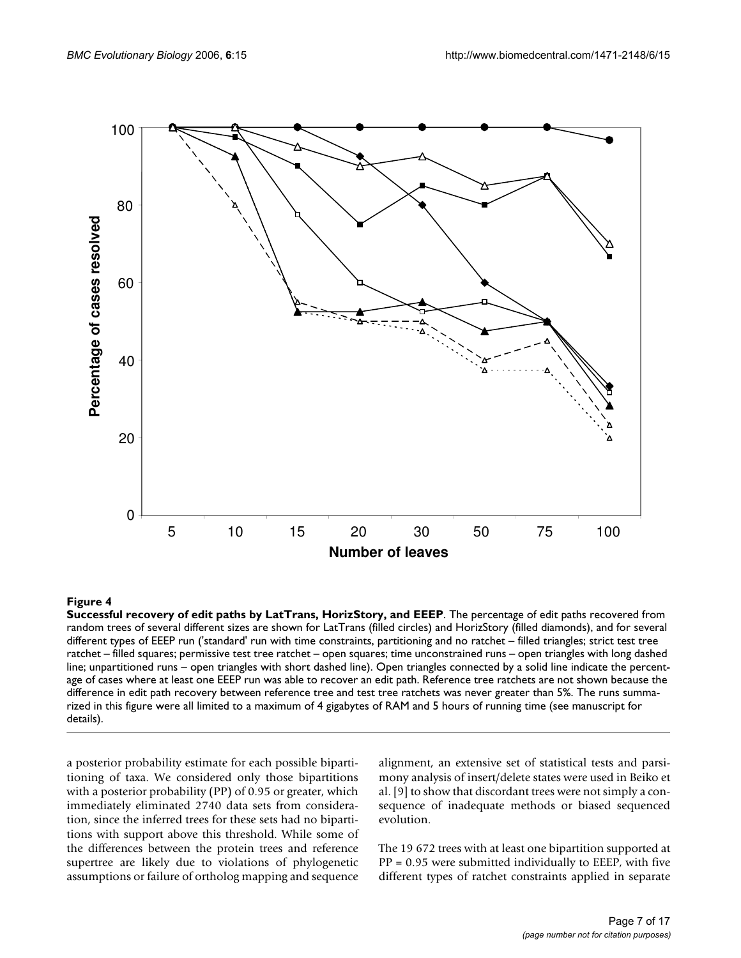

**Successful recovery of edit paths by LatTrans, HorizStory, and EEEP**. The percentage of edit paths recovered from random trees of several different sizes are shown for LatTrans (filled circles) and HorizStory (filled diamonds), and for several different types of EEEP run ('standard' run with time constraints, partitioning and no ratchet – filled triangles; strict test tree ratchet – filled squares; permissive test tree ratchet – open squares; time unconstrained runs – open triangles with long dashed line; unpartitioned runs – open triangles with short dashed line). Open triangles connected by a solid line indicate the percentage of cases where at least one EEEP run was able to recover an edit path. Reference tree ratchets are not shown because the difference in edit path recovery between reference tree and test tree ratchets was never greater than 5%. The runs summarized in this figure were all limited to a maximum of 4 gigabytes of RAM and 5 hours of running time (see manuscript for details).

a posterior probability estimate for each possible bipartitioning of taxa. We considered only those bipartitions with a posterior probability (PP) of 0.95 or greater, which immediately eliminated 2740 data sets from consideration, since the inferred trees for these sets had no bipartitions with support above this threshold. While some of the differences between the protein trees and reference supertree are likely due to violations of phylogenetic assumptions or failure of ortholog mapping and sequence alignment, an extensive set of statistical tests and parsimony analysis of insert/delete states were used in Beiko et al. [9] to show that discordant trees were not simply a consequence of inadequate methods or biased sequenced evolution.

The 19 672 trees with at least one bipartition supported at  $PP = 0.95$  were submitted individually to EEEP, with five different types of ratchet constraints applied in separate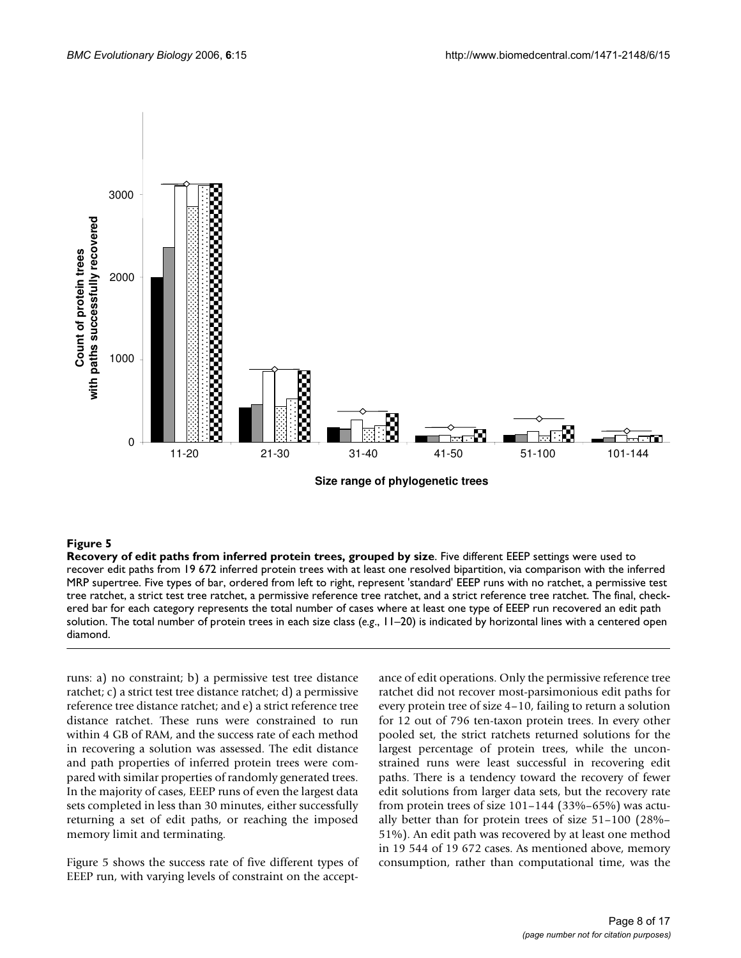

**Size range of phylogenetic trees**

## **Figure 5**

**Recovery of edit paths from inferred protein trees, grouped by size**. Five different EEEP settings were used to recover edit paths from 19 672 inferred protein trees with at least one resolved bipartition, via comparison with the inferred MRP supertree. Five types of bar, ordered from left to right, represent 'standard' EEEP runs with no ratchet, a permissive test tree ratchet, a strict test tree ratchet, a permissive reference tree ratchet, and a strict reference tree ratchet. The final, checkered bar for each category represents the total number of cases where at least one type of EEEP run recovered an edit path solution. The total number of protein trees in each size class (*e.g*., 11–20) is indicated by horizontal lines with a centered open diamond.

runs: a) no constraint; b) a permissive test tree distance ratchet; c) a strict test tree distance ratchet; d) a permissive reference tree distance ratchet; and e) a strict reference tree distance ratchet. These runs were constrained to run within 4 GB of RAM, and the success rate of each method in recovering a solution was assessed. The edit distance and path properties of inferred protein trees were compared with similar properties of randomly generated trees. In the majority of cases, EEEP runs of even the largest data sets completed in less than 30 minutes, either successfully returning a set of edit paths, or reaching the imposed memory limit and terminating.

Figure 5 shows the success rate of five different types of EEEP run, with varying levels of constraint on the acceptance of edit operations. Only the permissive reference tree ratchet did not recover most-parsimonious edit paths for every protein tree of size 4–10, failing to return a solution for 12 out of 796 ten-taxon protein trees. In every other pooled set, the strict ratchets returned solutions for the largest percentage of protein trees, while the unconstrained runs were least successful in recovering edit paths. There is a tendency toward the recovery of fewer edit solutions from larger data sets, but the recovery rate from protein trees of size 101–144 (33%–65%) was actually better than for protein trees of size 51–100 (28%– 51%). An edit path was recovered by at least one method in 19 544 of 19 672 cases. As mentioned above, memory consumption, rather than computational time, was the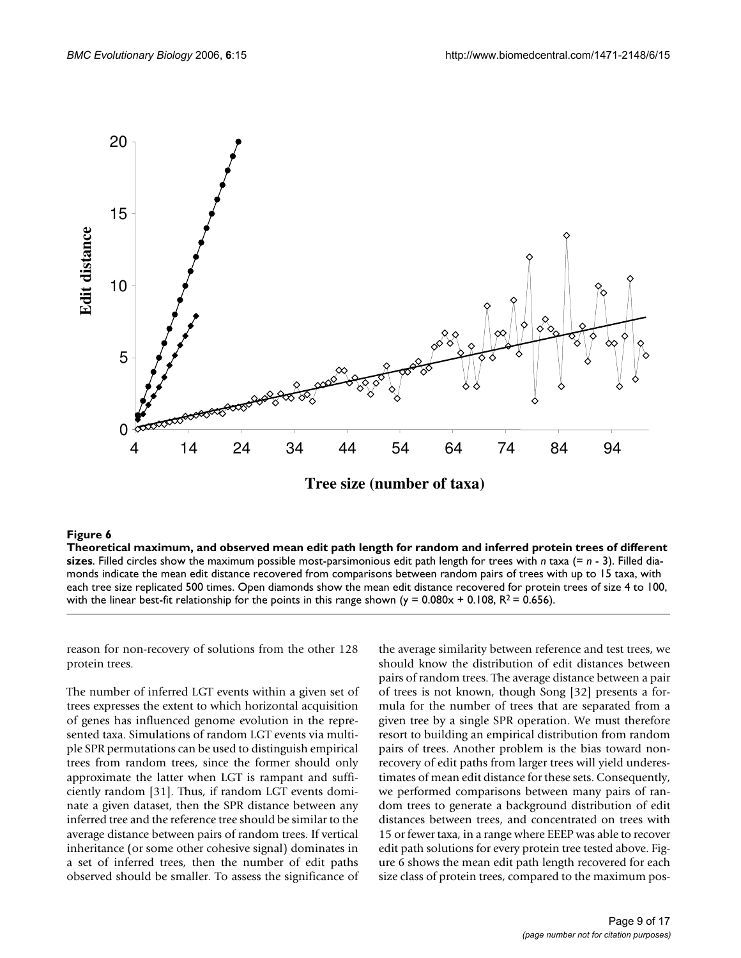

# Theoretical maximum, and observed mean **Figure 6** edit path length for random and inferred protein trees of different sizes

**Theoretical maximum, and observed mean edit path length for random and inferred protein trees of different sizes**. Filled circles show the maximum possible most-parsimonious edit path length for trees with *n* taxa (= *n* - 3). Filled diamonds indicate the mean edit distance recovered from comparisons between random pairs of trees with up to 15 taxa, with each tree size replicated 500 times. Open diamonds show the mean edit distance recovered for protein trees of size 4 to 100, with the linear best-fit relationship for the points in this range shown ( $y = 0.080x + 0.108$ ,  $R^2 = 0.656$ ).

reason for non-recovery of solutions from the other 128 protein trees.

The number of inferred LGT events within a given set of trees expresses the extent to which horizontal acquisition of genes has influenced genome evolution in the represented taxa. Simulations of random LGT events via multiple SPR permutations can be used to distinguish empirical trees from random trees, since the former should only approximate the latter when LGT is rampant and sufficiently random [31]. Thus, if random LGT events dominate a given dataset, then the SPR distance between any inferred tree and the reference tree should be similar to the average distance between pairs of random trees. If vertical inheritance (or some other cohesive signal) dominates in a set of inferred trees, then the number of edit paths observed should be smaller. To assess the significance of the average similarity between reference and test trees, we should know the distribution of edit distances between pairs of random trees. The average distance between a pair of trees is not known, though Song [32] presents a formula for the number of trees that are separated from a given tree by a single SPR operation. We must therefore resort to building an empirical distribution from random pairs of trees. Another problem is the bias toward nonrecovery of edit paths from larger trees will yield underestimates of mean edit distance for these sets. Consequently, we performed comparisons between many pairs of random trees to generate a background distribution of edit distances between trees, and concentrated on trees with 15 or fewer taxa, in a range where EEEP was able to recover edit path solutions for every protein tree tested above. Figure 6 shows the mean edit path length recovered for each size class of protein trees, compared to the maximum pos-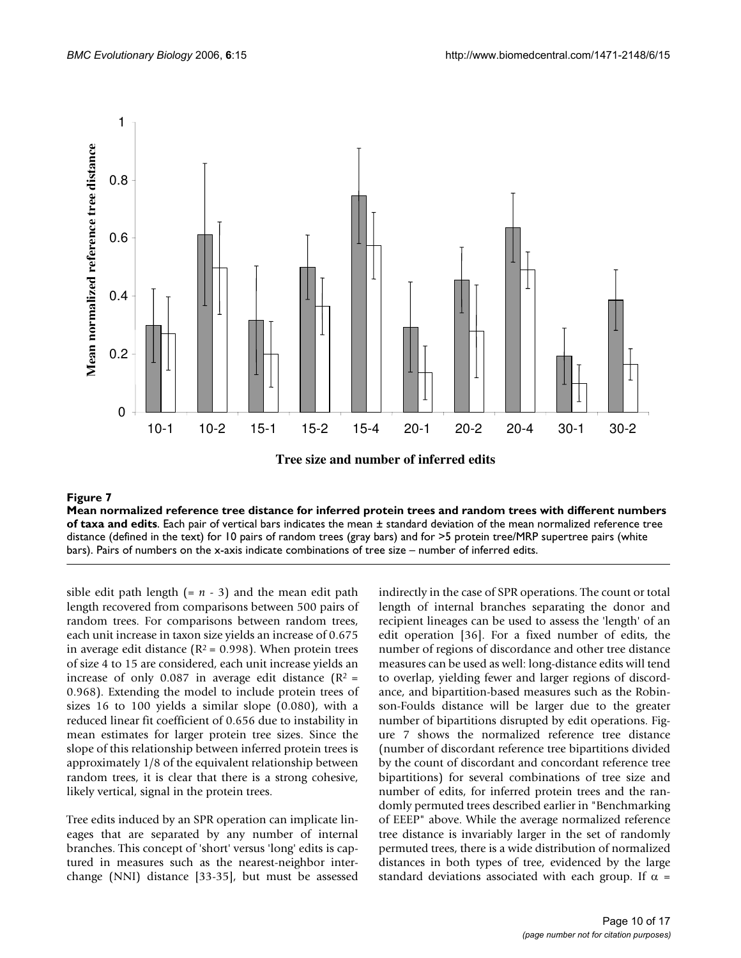

# **Figure 7** Mean normalized reference for inferred protein trees and random trees with different numbers of taxa and edits

**Mean normalized reference tree distance for inferred protein trees and random trees with different numbers of taxa and edits**. Each pair of vertical bars indicates the mean ± standard deviation of the mean normalized reference tree distance (defined in the text) for 10 pairs of random trees (gray bars) and for >5 protein tree/MRP supertree pairs (white bars). Pairs of numbers on the x-axis indicate combinations of tree size – number of inferred edits.

sible edit path length  $(= n - 3)$  and the mean edit path length recovered from comparisons between 500 pairs of random trees. For comparisons between random trees, each unit increase in taxon size yields an increase of 0.675 in average edit distance ( $R^2$  = 0.998). When protein trees of size 4 to 15 are considered, each unit increase yields an increase of only 0.087 in average edit distance  $(R^2 =$ 0.968). Extending the model to include protein trees of sizes 16 to 100 yields a similar slope (0.080), with a reduced linear fit coefficient of 0.656 due to instability in mean estimates for larger protein tree sizes. Since the slope of this relationship between inferred protein trees is approximately 1/8 of the equivalent relationship between random trees, it is clear that there is a strong cohesive, likely vertical, signal in the protein trees.

Tree edits induced by an SPR operation can implicate lineages that are separated by any number of internal branches. This concept of 'short' versus 'long' edits is captured in measures such as the nearest-neighbor interchange (NNI) distance [33-35], but must be assessed

indirectly in the case of SPR operations. The count or total length of internal branches separating the donor and recipient lineages can be used to assess the 'length' of an edit operation [36]. For a fixed number of edits, the number of regions of discordance and other tree distance measures can be used as well: long-distance edits will tend to overlap, yielding fewer and larger regions of discordance, and bipartition-based measures such as the Robinson-Foulds distance will be larger due to the greater number of bipartitions disrupted by edit operations. Figure 7 shows the normalized reference tree distance (number of discordant reference tree bipartitions divided by the count of discordant and concordant reference tree bipartitions) for several combinations of tree size and number of edits, for inferred protein trees and the randomly permuted trees described earlier in "Benchmarking of EEEP" above. While the average normalized reference tree distance is invariably larger in the set of randomly permuted trees, there is a wide distribution of normalized distances in both types of tree, evidenced by the large standard deviations associated with each group. If  $\alpha =$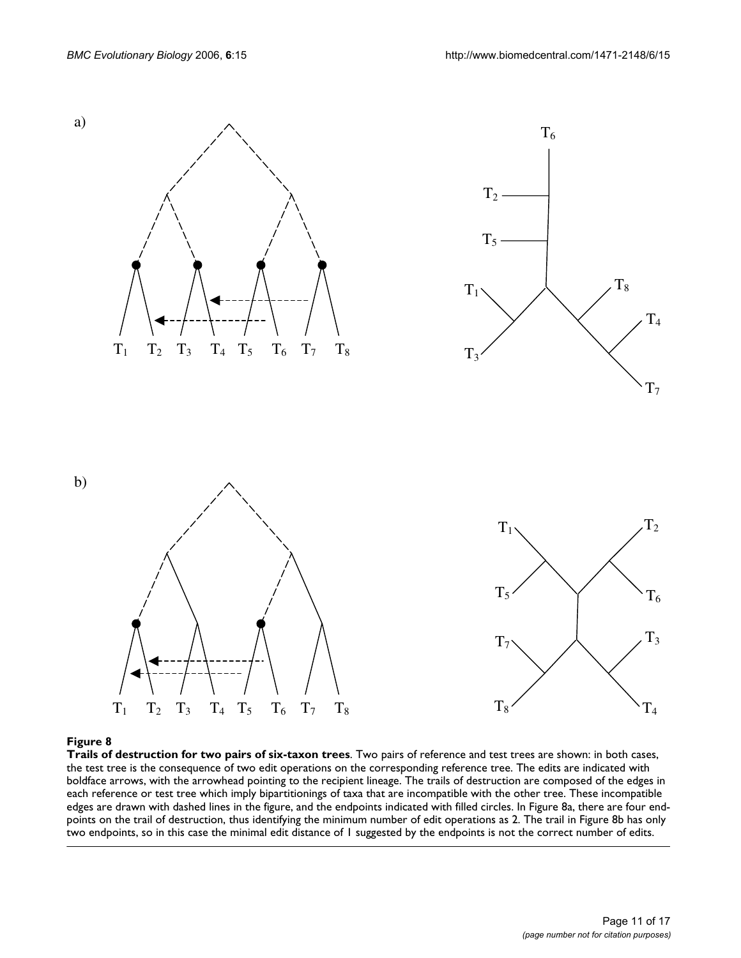

**Trails of destruction for two pairs of six-taxon trees**. Two pairs of reference and test trees are shown: in both cases, the test tree is the consequence of two edit operations on the corresponding reference tree. The edits are indicated with boldface arrows, with the arrowhead pointing to the recipient lineage. The trails of destruction are composed of the edges in each reference or test tree which imply bipartitionings of taxa that are incompatible with the other tree. These incompatible edges are drawn with dashed lines in the figure, and the endpoints indicated with filled circles. In Figure 8a, there are four endpoints on the trail of destruction, thus identifying the minimum number of edit operations as 2. The trail in Figure 8b has only two endpoints, so in this case the minimal edit distance of 1 suggested by the endpoints is not the correct number of edits.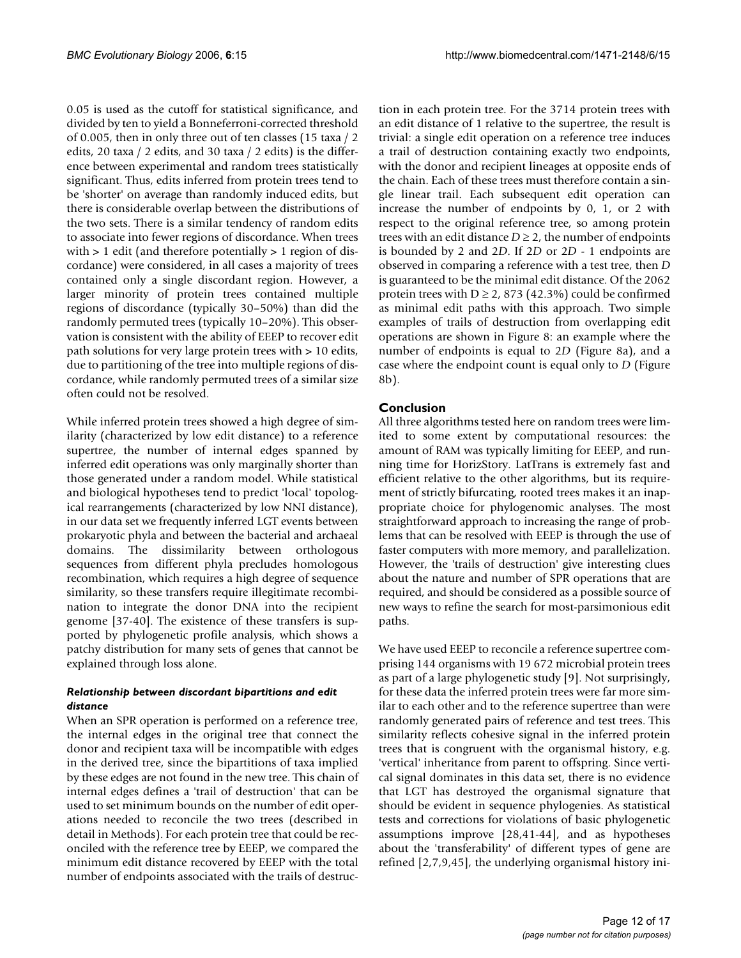0.05 is used as the cutoff for statistical significance, and divided by ten to yield a Bonneferroni-corrected threshold of 0.005, then in only three out of ten classes (15 taxa / 2 edits, 20 taxa  $/$  2 edits, and 30 taxa  $/$  2 edits) is the difference between experimental and random trees statistically significant. Thus, edits inferred from protein trees tend to be 'shorter' on average than randomly induced edits, but there is considerable overlap between the distributions of the two sets. There is a similar tendency of random edits to associate into fewer regions of discordance. When trees with  $> 1$  edit (and therefore potentially  $> 1$  region of discordance) were considered, in all cases a majority of trees contained only a single discordant region. However, a larger minority of protein trees contained multiple regions of discordance (typically 30–50%) than did the randomly permuted trees (typically 10–20%). This observation is consistent with the ability of EEEP to recover edit path solutions for very large protein trees with > 10 edits, due to partitioning of the tree into multiple regions of discordance, while randomly permuted trees of a similar size often could not be resolved.

While inferred protein trees showed a high degree of similarity (characterized by low edit distance) to a reference supertree, the number of internal edges spanned by inferred edit operations was only marginally shorter than those generated under a random model. While statistical and biological hypotheses tend to predict 'local' topological rearrangements (characterized by low NNI distance), in our data set we frequently inferred LGT events between prokaryotic phyla and between the bacterial and archaeal domains. The dissimilarity between orthologous sequences from different phyla precludes homologous recombination, which requires a high degree of sequence similarity, so these transfers require illegitimate recombination to integrate the donor DNA into the recipient genome [37-40]. The existence of these transfers is supported by phylogenetic profile analysis, which shows a patchy distribution for many sets of genes that cannot be explained through loss alone.

# *Relationship between discordant bipartitions and edit distance*

When an SPR operation is performed on a reference tree, the internal edges in the original tree that connect the donor and recipient taxa will be incompatible with edges in the derived tree, since the bipartitions of taxa implied by these edges are not found in the new tree. This chain of internal edges defines a 'trail of destruction' that can be used to set minimum bounds on the number of edit operations needed to reconcile the two trees (described in detail in Methods). For each protein tree that could be reconciled with the reference tree by EEEP, we compared the minimum edit distance recovered by EEEP with the total number of endpoints associated with the trails of destruction in each protein tree. For the 3714 protein trees with an edit distance of 1 relative to the supertree, the result is trivial: a single edit operation on a reference tree induces a trail of destruction containing exactly two endpoints, with the donor and recipient lineages at opposite ends of the chain. Each of these trees must therefore contain a single linear trail. Each subsequent edit operation can increase the number of endpoints by 0, 1, or 2 with respect to the original reference tree, so among protein trees with an edit distance  $D \geq 2$ , the number of endpoints is bounded by 2 and 2*D*. If 2*D* or 2*D* - 1 endpoints are observed in comparing a reference with a test tree, then *D* is guaranteed to be the minimal edit distance. Of the 2062 protein trees with  $D \ge 2$ , 873 (42.3%) could be confirmed as minimal edit paths with this approach. Two simple examples of trails of destruction from overlapping edit operations are shown in Figure 8: an example where the number of endpoints is equal to 2*D* (Figure 8a), and a case where the endpoint count is equal only to *D* (Figure 8b).

# **Conclusion**

All three algorithms tested here on random trees were limited to some extent by computational resources: the amount of RAM was typically limiting for EEEP, and running time for HorizStory. LatTrans is extremely fast and efficient relative to the other algorithms, but its requirement of strictly bifurcating, rooted trees makes it an inappropriate choice for phylogenomic analyses. The most straightforward approach to increasing the range of problems that can be resolved with EEEP is through the use of faster computers with more memory, and parallelization. However, the 'trails of destruction' give interesting clues about the nature and number of SPR operations that are required, and should be considered as a possible source of new ways to refine the search for most-parsimonious edit paths.

We have used EEEP to reconcile a reference supertree comprising 144 organisms with 19 672 microbial protein trees as part of a large phylogenetic study [9]. Not surprisingly, for these data the inferred protein trees were far more similar to each other and to the reference supertree than were randomly generated pairs of reference and test trees. This similarity reflects cohesive signal in the inferred protein trees that is congruent with the organismal history, e.g. 'vertical' inheritance from parent to offspring. Since vertical signal dominates in this data set, there is no evidence that LGT has destroyed the organismal signature that should be evident in sequence phylogenies. As statistical tests and corrections for violations of basic phylogenetic assumptions improve [28,41-44], and as hypotheses about the 'transferability' of different types of gene are refined [2,7,9,45], the underlying organismal history ini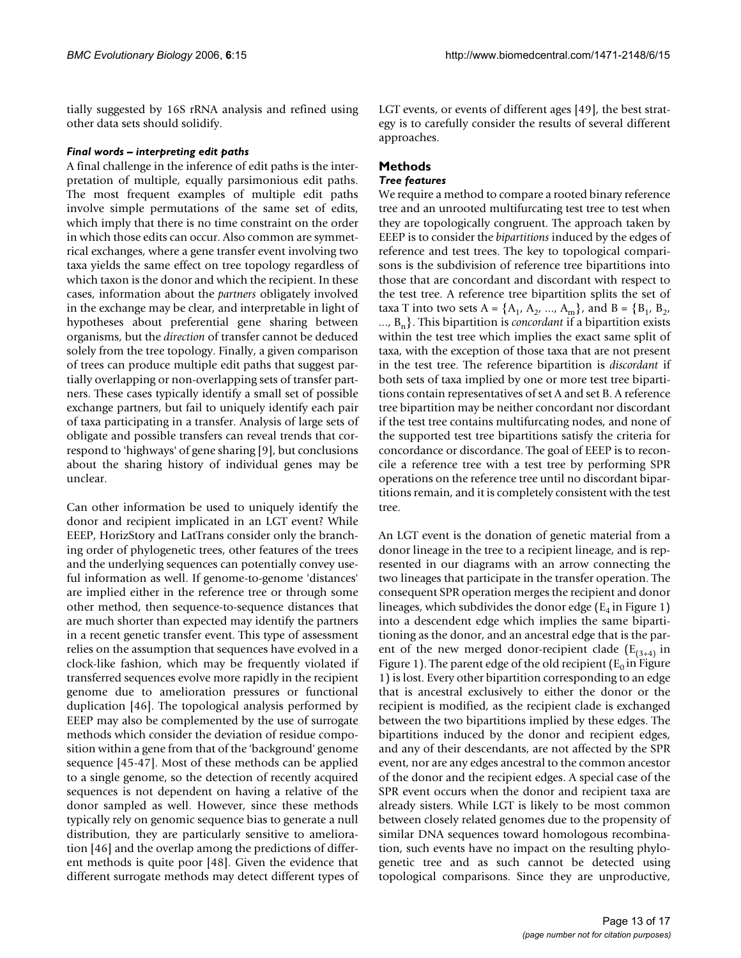tially suggested by 16S rRNA analysis and refined using other data sets should solidify.

#### *Final words – interpreting edit paths*

A final challenge in the inference of edit paths is the interpretation of multiple, equally parsimonious edit paths. The most frequent examples of multiple edit paths involve simple permutations of the same set of edits, which imply that there is no time constraint on the order in which those edits can occur. Also common are symmetrical exchanges, where a gene transfer event involving two taxa yields the same effect on tree topology regardless of which taxon is the donor and which the recipient. In these cases, information about the *partners* obligately involved in the exchange may be clear, and interpretable in light of hypotheses about preferential gene sharing between organisms, but the *direction* of transfer cannot be deduced solely from the tree topology. Finally, a given comparison of trees can produce multiple edit paths that suggest partially overlapping or non-overlapping sets of transfer partners. These cases typically identify a small set of possible exchange partners, but fail to uniquely identify each pair of taxa participating in a transfer. Analysis of large sets of obligate and possible transfers can reveal trends that correspond to 'highways' of gene sharing [9], but conclusions about the sharing history of individual genes may be unclear.

Can other information be used to uniquely identify the donor and recipient implicated in an LGT event? While EEEP, HorizStory and LatTrans consider only the branching order of phylogenetic trees, other features of the trees and the underlying sequences can potentially convey useful information as well. If genome-to-genome 'distances' are implied either in the reference tree or through some other method, then sequence-to-sequence distances that are much shorter than expected may identify the partners in a recent genetic transfer event. This type of assessment relies on the assumption that sequences have evolved in a clock-like fashion, which may be frequently violated if transferred sequences evolve more rapidly in the recipient genome due to amelioration pressures or functional duplication [46]. The topological analysis performed by EEEP may also be complemented by the use of surrogate methods which consider the deviation of residue composition within a gene from that of the 'background' genome sequence [45-47]. Most of these methods can be applied to a single genome, so the detection of recently acquired sequences is not dependent on having a relative of the donor sampled as well. However, since these methods typically rely on genomic sequence bias to generate a null distribution, they are particularly sensitive to amelioration [46] and the overlap among the predictions of different methods is quite poor [48]. Given the evidence that different surrogate methods may detect different types of LGT events, or events of different ages [49], the best strategy is to carefully consider the results of several different approaches.

# **Methods**

# *Tree features*

We require a method to compare a rooted binary reference tree and an unrooted multifurcating test tree to test when they are topologically congruent. The approach taken by EEEP is to consider the *bipartitions* induced by the edges of reference and test trees. The key to topological comparisons is the subdivision of reference tree bipartitions into those that are concordant and discordant with respect to the test tree. A reference tree bipartition splits the set of taxa T into two sets A =  ${A_1, A_2, ..., A_m}$ , and B =  ${B_1, B_2, ...}$ ..., Bn}. This bipartition is *concordant* if a bipartition exists within the test tree which implies the exact same split of taxa, with the exception of those taxa that are not present in the test tree. The reference bipartition is *discordant* if both sets of taxa implied by one or more test tree bipartitions contain representatives of set A and set B. A reference tree bipartition may be neither concordant nor discordant if the test tree contains multifurcating nodes, and none of the supported test tree bipartitions satisfy the criteria for concordance or discordance. The goal of EEEP is to reconcile a reference tree with a test tree by performing SPR operations on the reference tree until no discordant bipartitions remain, and it is completely consistent with the test tree.

An LGT event is the donation of genetic material from a donor lineage in the tree to a recipient lineage, and is represented in our diagrams with an arrow connecting the two lineages that participate in the transfer operation. The consequent SPR operation merges the recipient and donor lineages, which subdivides the donor edge ( $E_4$  in Figure 1) into a descendent edge which implies the same bipartitioning as the donor, and an ancestral edge that is the parent of the new merged donor-recipient clade  $(E_{(3+4)}$  in Figure 1). The parent edge of the old recipient ( $E_0$  in Figure 1) is lost. Every other bipartition corresponding to an edge that is ancestral exclusively to either the donor or the recipient is modified, as the recipient clade is exchanged between the two bipartitions implied by these edges. The bipartitions induced by the donor and recipient edges, and any of their descendants, are not affected by the SPR event, nor are any edges ancestral to the common ancestor of the donor and the recipient edges. A special case of the SPR event occurs when the donor and recipient taxa are already sisters. While LGT is likely to be most common between closely related genomes due to the propensity of similar DNA sequences toward homologous recombination, such events have no impact on the resulting phylogenetic tree and as such cannot be detected using topological comparisons. Since they are unproductive,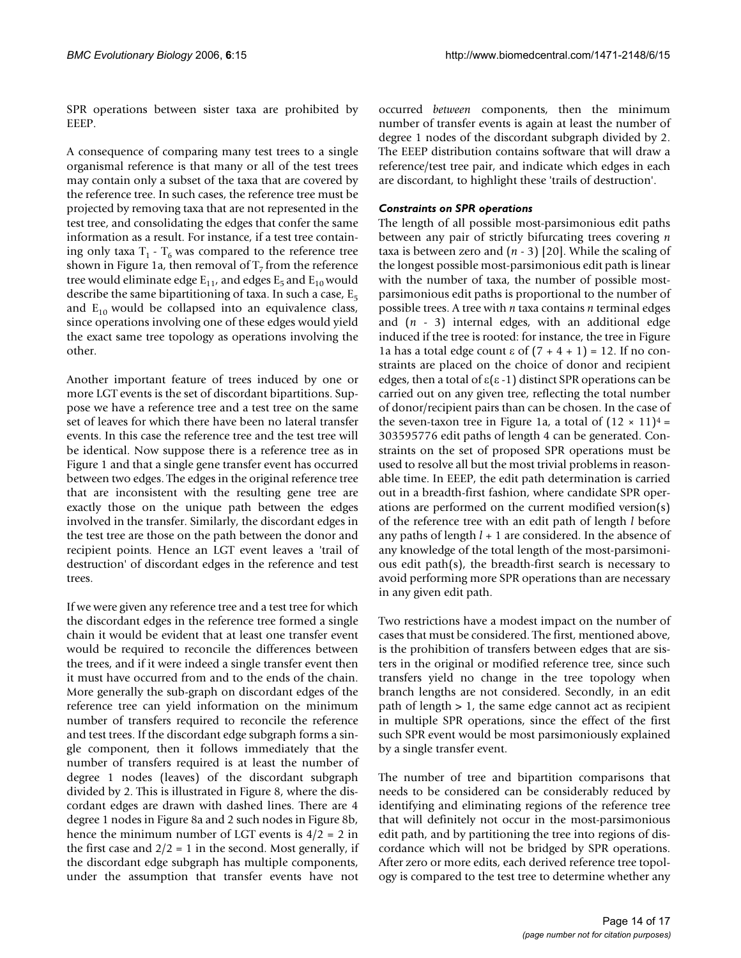SPR operations between sister taxa are prohibited by EEEP.

A consequence of comparing many test trees to a single organismal reference is that many or all of the test trees may contain only a subset of the taxa that are covered by the reference tree. In such cases, the reference tree must be projected by removing taxa that are not represented in the test tree, and consolidating the edges that confer the same information as a result. For instance, if a test tree containing only taxa  $T_1$  -  $T_6$  was compared to the reference tree shown in Figure 1a, then removal of  $T_7$  from the reference tree would eliminate edge  $E_{11}$ , and edges  $E_5$  and  $E_{10}$  would describe the same bipartitioning of taxa. In such a case,  $E_5$ and  $E_{10}$  would be collapsed into an equivalence class, since operations involving one of these edges would yield the exact same tree topology as operations involving the other.

Another important feature of trees induced by one or more LGT events is the set of discordant bipartitions. Suppose we have a reference tree and a test tree on the same set of leaves for which there have been no lateral transfer events. In this case the reference tree and the test tree will be identical. Now suppose there is a reference tree as in Figure 1 and that a single gene transfer event has occurred between two edges. The edges in the original reference tree that are inconsistent with the resulting gene tree are exactly those on the unique path between the edges involved in the transfer. Similarly, the discordant edges in the test tree are those on the path between the donor and recipient points. Hence an LGT event leaves a 'trail of destruction' of discordant edges in the reference and test trees.

If we were given any reference tree and a test tree for which the discordant edges in the reference tree formed a single chain it would be evident that at least one transfer event would be required to reconcile the differences between the trees, and if it were indeed a single transfer event then it must have occurred from and to the ends of the chain. More generally the sub-graph on discordant edges of the reference tree can yield information on the minimum number of transfers required to reconcile the reference and test trees. If the discordant edge subgraph forms a single component, then it follows immediately that the number of transfers required is at least the number of degree 1 nodes (leaves) of the discordant subgraph divided by 2. This is illustrated in Figure 8, where the discordant edges are drawn with dashed lines. There are 4 degree 1 nodes in Figure 8a and 2 such nodes in Figure 8b, hence the minimum number of LGT events is  $4/2 = 2$  in the first case and  $2/2 = 1$  in the second. Most generally, if the discordant edge subgraph has multiple components, under the assumption that transfer events have not occurred *between* components, then the minimum number of transfer events is again at least the number of degree 1 nodes of the discordant subgraph divided by 2. The EEEP distribution contains software that will draw a reference/test tree pair, and indicate which edges in each are discordant, to highlight these 'trails of destruction'.

#### *Constraints on SPR operations*

The length of all possible most-parsimonious edit paths between any pair of strictly bifurcating trees covering *n* taxa is between zero and (*n* - 3) [20]. While the scaling of the longest possible most-parsimonious edit path is linear with the number of taxa, the number of possible mostparsimonious edit paths is proportional to the number of possible trees. A tree with *n* taxa contains *n* terminal edges and (*n* - 3) internal edges, with an additional edge induced if the tree is rooted: for instance, the tree in Figure 1a has a total edge count  $\varepsilon$  of  $(7 + 4 + 1) = 12$ . If no constraints are placed on the choice of donor and recipient edges, then a total of  $ε(ε -1)$  distinct SPR operations can be carried out on any given tree, reflecting the total number of donor/recipient pairs than can be chosen. In the case of the seven-taxon tree in Figure 1a, a total of  $(12 \times 11)^4$  = 303595776 edit paths of length 4 can be generated. Constraints on the set of proposed SPR operations must be used to resolve all but the most trivial problems in reasonable time. In EEEP, the edit path determination is carried out in a breadth-first fashion, where candidate SPR operations are performed on the current modified version(s) of the reference tree with an edit path of length *l* before any paths of length *l* + 1 are considered. In the absence of any knowledge of the total length of the most-parsimonious edit path(s), the breadth-first search is necessary to avoid performing more SPR operations than are necessary in any given edit path.

Two restrictions have a modest impact on the number of cases that must be considered. The first, mentioned above, is the prohibition of transfers between edges that are sisters in the original or modified reference tree, since such transfers yield no change in the tree topology when branch lengths are not considered. Secondly, in an edit path of length  $> 1$ , the same edge cannot act as recipient in multiple SPR operations, since the effect of the first such SPR event would be most parsimoniously explained by a single transfer event.

The number of tree and bipartition comparisons that needs to be considered can be considerably reduced by identifying and eliminating regions of the reference tree that will definitely not occur in the most-parsimonious edit path, and by partitioning the tree into regions of discordance which will not be bridged by SPR operations. After zero or more edits, each derived reference tree topology is compared to the test tree to determine whether any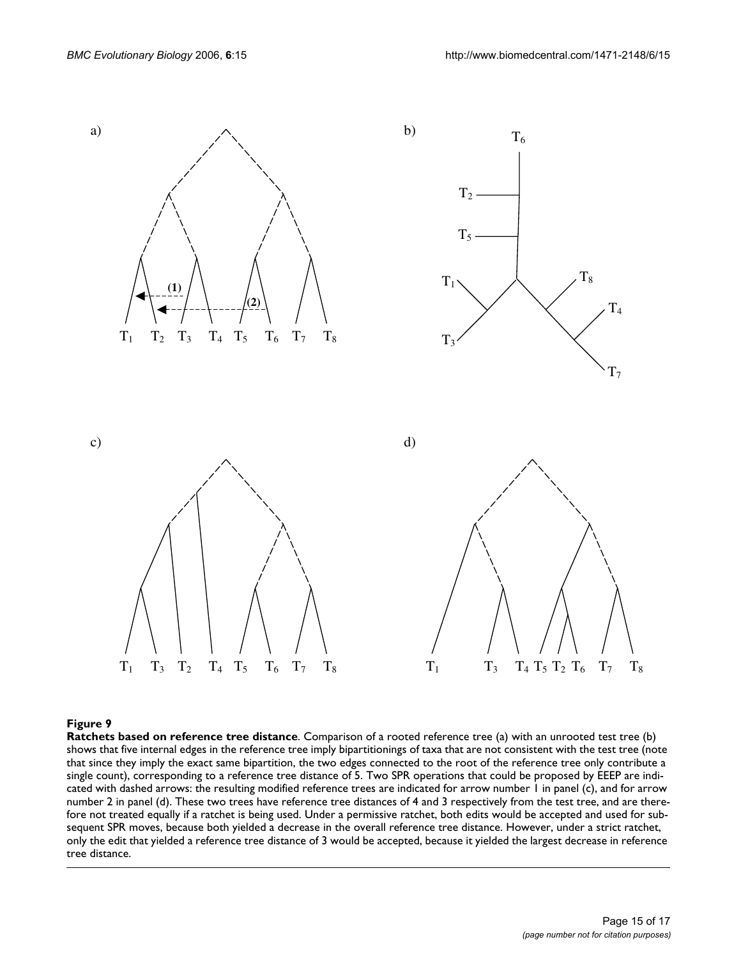

**Ratchets based on reference tree distance**. Comparison of a rooted reference tree (a) with an unrooted test tree (b) shows that five internal edges in the reference tree imply bipartitionings of taxa that are not consistent with the test tree (note that since they imply the exact same bipartition, the two edges connected to the root of the reference tree only contribute a single count), corresponding to a reference tree distance of 5. Two SPR operations that could be proposed by EEEP are indicated with dashed arrows: the resulting modified reference trees are indicated for arrow number 1 in panel (c), and for arrow number 2 in panel (d). These two trees have reference tree distances of 4 and 3 respectively from the test tree, and are therefore not treated equally if a ratchet is being used. Under a permissive ratchet, both edits would be accepted and used for subsequent SPR moves, because both yielded a decrease in the overall reference tree distance. However, under a strict ratchet, only the edit that yielded a reference tree distance of 3 would be accepted, because it yielded the largest decrease in reference tree distance.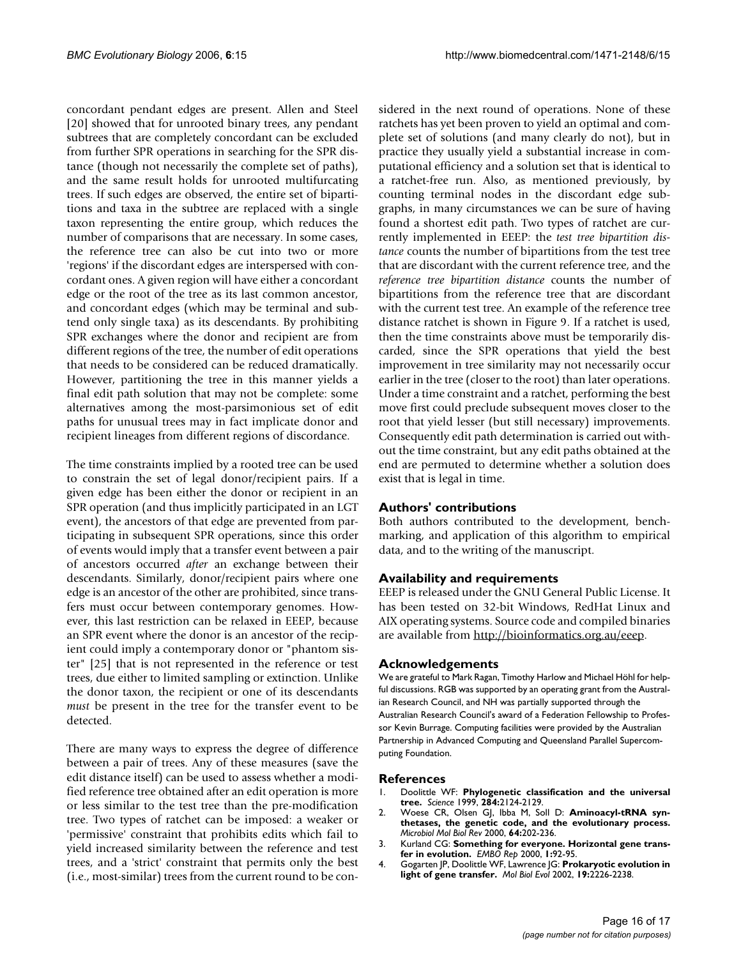concordant pendant edges are present. Allen and Steel [20] showed that for unrooted binary trees, any pendant subtrees that are completely concordant can be excluded from further SPR operations in searching for the SPR distance (though not necessarily the complete set of paths), and the same result holds for unrooted multifurcating trees. If such edges are observed, the entire set of bipartitions and taxa in the subtree are replaced with a single taxon representing the entire group, which reduces the number of comparisons that are necessary. In some cases, the reference tree can also be cut into two or more 'regions' if the discordant edges are interspersed with concordant ones. A given region will have either a concordant edge or the root of the tree as its last common ancestor, and concordant edges (which may be terminal and subtend only single taxa) as its descendants. By prohibiting SPR exchanges where the donor and recipient are from different regions of the tree, the number of edit operations that needs to be considered can be reduced dramatically. However, partitioning the tree in this manner yields a final edit path solution that may not be complete: some alternatives among the most-parsimonious set of edit paths for unusual trees may in fact implicate donor and recipient lineages from different regions of discordance.

The time constraints implied by a rooted tree can be used to constrain the set of legal donor/recipient pairs. If a given edge has been either the donor or recipient in an SPR operation (and thus implicitly participated in an LGT event), the ancestors of that edge are prevented from participating in subsequent SPR operations, since this order of events would imply that a transfer event between a pair of ancestors occurred *after* an exchange between their descendants. Similarly, donor/recipient pairs where one edge is an ancestor of the other are prohibited, since transfers must occur between contemporary genomes. However, this last restriction can be relaxed in EEEP, because an SPR event where the donor is an ancestor of the recipient could imply a contemporary donor or "phantom sister" [25] that is not represented in the reference or test trees, due either to limited sampling or extinction. Unlike the donor taxon, the recipient or one of its descendants *must* be present in the tree for the transfer event to be detected.

There are many ways to express the degree of difference between a pair of trees. Any of these measures (save the edit distance itself) can be used to assess whether a modified reference tree obtained after an edit operation is more or less similar to the test tree than the pre-modification tree. Two types of ratchet can be imposed: a weaker or 'permissive' constraint that prohibits edits which fail to yield increased similarity between the reference and test trees, and a 'strict' constraint that permits only the best (i.e., most-similar) trees from the current round to be considered in the next round of operations. None of these ratchets has yet been proven to yield an optimal and complete set of solutions (and many clearly do not), but in practice they usually yield a substantial increase in computational efficiency and a solution set that is identical to a ratchet-free run. Also, as mentioned previously, by counting terminal nodes in the discordant edge subgraphs, in many circumstances we can be sure of having found a shortest edit path. Two types of ratchet are currently implemented in EEEP: the *test tree bipartition distance* counts the number of bipartitions from the test tree that are discordant with the current reference tree, and the *reference tree bipartition distance* counts the number of bipartitions from the reference tree that are discordant with the current test tree. An example of the reference tree distance ratchet is shown in Figure 9. If a ratchet is used, then the time constraints above must be temporarily discarded, since the SPR operations that yield the best improvement in tree similarity may not necessarily occur earlier in the tree (closer to the root) than later operations. Under a time constraint and a ratchet, performing the best move first could preclude subsequent moves closer to the root that yield lesser (but still necessary) improvements. Consequently edit path determination is carried out without the time constraint, but any edit paths obtained at the end are permuted to determine whether a solution does exist that is legal in time.

# **Authors' contributions**

Both authors contributed to the development, benchmarking, and application of this algorithm to empirical data, and to the writing of the manuscript.

# **Availability and requirements**

EEEP is released under the GNU General Public License. It has been tested on 32-bit Windows, RedHat Linux and AIX operating systems. Source code and compiled binaries are available from <http://bioinformatics.org.au/eeep>.

# **Acknowledgements**

We are grateful to Mark Ragan, Timothy Harlow and Michael Höhl for helpful discussions. RGB was supported by an operating grant from the Australian Research Council, and NH was partially supported through the Australian Research Council's award of a Federation Fellowship to Professor Kevin Burrage. Computing facilities were provided by the Australian Partnership in Advanced Computing and Queensland Parallel Supercomputing Foundation.

## **References**

- 1. Doolittle WF: **[Phylogenetic classification and the universal](http://www.ncbi.nlm.nih.gov/entrez/query.fcgi?cmd=Retrieve&db=PubMed&dopt=Abstract&list_uids=10381871) [tree.](http://www.ncbi.nlm.nih.gov/entrez/query.fcgi?cmd=Retrieve&db=PubMed&dopt=Abstract&list_uids=10381871)** *Science* 1999, **284:**2124-2129.
- 2. Woese CR, Olsen GJ, Ibba M, Soll D: **[Aminoacyl-tRNA syn](http://www.ncbi.nlm.nih.gov/entrez/query.fcgi?cmd=Retrieve&db=PubMed&dopt=Abstract&list_uids=10704480)[thetases, the genetic code, and the evolutionary process.](http://www.ncbi.nlm.nih.gov/entrez/query.fcgi?cmd=Retrieve&db=PubMed&dopt=Abstract&list_uids=10704480)** *Microbiol Mol Biol Rev* 2000, **64:**202-236.
- 3. Kurland CG: **[Something for everyone. Horizontal gene trans](http://www.ncbi.nlm.nih.gov/entrez/query.fcgi?cmd=Retrieve&db=PubMed&dopt=Abstract&list_uids=11265763)[fer in evolution.](http://www.ncbi.nlm.nih.gov/entrez/query.fcgi?cmd=Retrieve&db=PubMed&dopt=Abstract&list_uids=11265763)** *EMBO Rep* 2000, **1:**92-95.
- 4. Gogarten JP, Doolittle WF, Lawrence JG: **[Prokaryotic evolution in](http://www.ncbi.nlm.nih.gov/entrez/query.fcgi?cmd=Retrieve&db=PubMed&dopt=Abstract&list_uids=12446813) [light of gene transfer.](http://www.ncbi.nlm.nih.gov/entrez/query.fcgi?cmd=Retrieve&db=PubMed&dopt=Abstract&list_uids=12446813)** *Mol Biol Evol* 2002, **19:**2226-2238.